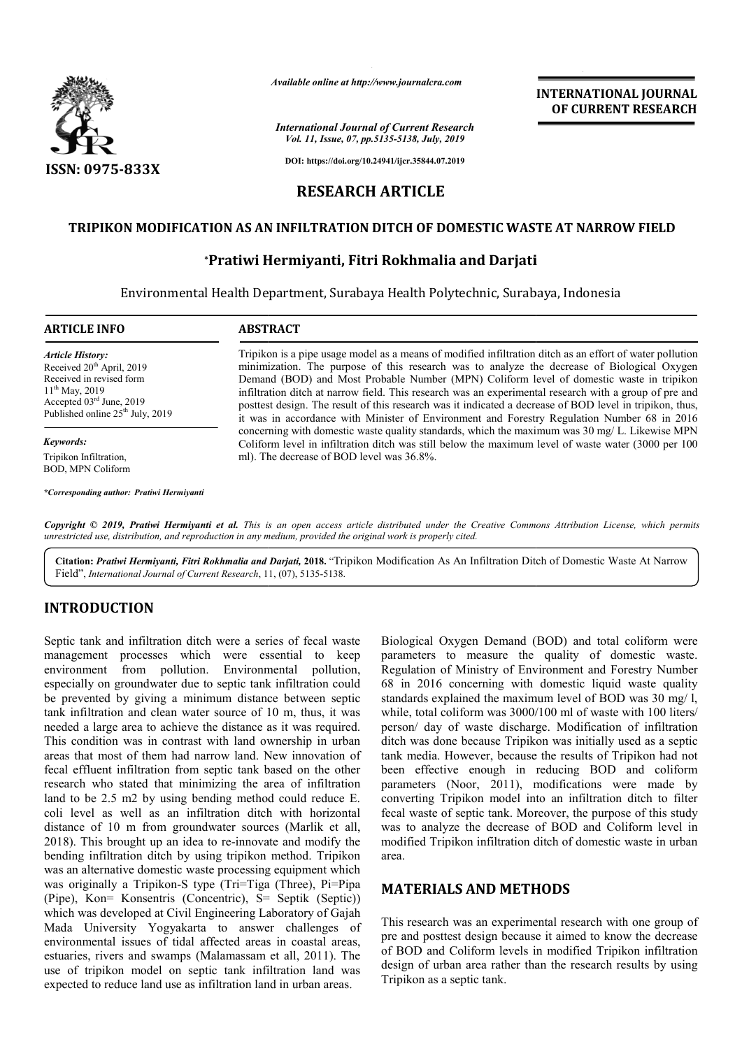

*Available online at http://www.journalcra.com*

*International Journal of Current Research Vol. 11, Issue, 07, pp.5135-5138, July, 2019*

**INTERNATIONAL JOURNAL OF CURRENT RESEARCH**

**DOI: https://doi.org/10.24941/ijcr.35844.07.2019**

# **RESEARCH ARTICLE**

## **TRIPIKON MODIFICATION AS AN INFILTRATION DITCH OF DOMESTIC WASTE AT NARROW FIELD**

# **TION AS AN INFILTRATION DITCH OF DOMESTIC WAS<br>\*Pratiwi Hermiyanti, Fitri Rokhmalia and Darjati**

Environmental Health Department, Surabaya Health Polytechnic, Surabaya, Indonesia Indonesia

| <b>ARTICLE INFO</b>                          | <b>ABSTRACT</b>                                                                                          |
|----------------------------------------------|----------------------------------------------------------------------------------------------------------|
| <b>Article History:</b>                      | Tripikon is a pipe usage model as a means of modified infiltration ditch as an effort of water pollution |
| Received $20th$ April, 2019                  | minimization. The purpose of this research was to analyze the decrease of Biological Oxygen              |
| Received in revised form                     | Demand (BOD) and Most Probable Number (MPN) Coliform level of domestic waste in tripikon                 |
| $11^{th}$ May, 2019                          | infiltration ditch at narrow field. This research was an experimental research with a group of pre and   |
| Accepted 03rd June, 2019                     | posttest design. The result of this research was it indicated a decrease of BOD level in tripikon, thus, |
| Published online 25 <sup>th</sup> July, 2019 | it was in accordance with Minister of Environment and Forestry Regulation Number 68 in 2016              |
| Keywords:                                    | concerning with domestic waste quality standards, which the maximum was 30 mg/L. Likewise MPN            |
| Tripikon Infiltration,                       | Coliform level in infiltration ditch was still below the maximum level of waste water (3000 per 100      |
| <b>BOD, MPN Coliform</b>                     | ml). The decrease of BOD level was 36.8%.                                                                |

Copyright © 2019, Pratiwi Hermiyanti et al. This is an open access article distributed under the Creative Commons Attribution License, which permits *unrestricted use, distribution, and reproduction in any medium, provided the original work is properly cited.*

Citation: Pratiwi Hermiyanti, Fitri Rokhmalia and Darjati, 2018. "Tripikon Modification As An Infiltration Ditch of Domestic Waste At Narrow Field", International Journal of Current Research, 11, (07), 5135-5138.

# **INTRODUCTION**

*\*Corresponding author: Pratiwi Hermiyanti*

Septic tank and infiltration ditch were a series of fecal waste management processes which were essential to keep environment from pollution. Environmental pollution, especially on groundwater due to septic tank infiltration could be prevented by giving a minimum distance between septic tank infiltration and clean water source of 10 m, thus, it was needed a large area to achieve the distance as it was required. This condition was in contrast with land ownership in urban areas that most of them had narrow land. New innovation of fecal effluent infiltration from septic tank based on the other research who stated that minimizing the area of infiltration land to be 2.5 m2 by using bending method could reduce E. coli level as well as an infiltration ditch with horizontal distance of 10 m from groundwater sources (Marlik et all, 2018). This brought up an idea to re-innovate and modify the bending infiltration ditch by using tripikon method. Tripikon was an alternative domestic waste processing equipment which was originally a Tripikon-S type (Tri=Tiga (Three), Pi=Pipa (Pipe), Kon= Konsentris (Concentric), S= Septik (Septic)) which was developed at Civil Engineering Laboratory of Gajah Mada University Yogyakarta to answer challenges of environmental issues of tidal affected areas in coastal areas, estuaries, rivers and swamps (Malamassam et all, 2011). The use of tripikon model on septic tank infiltration land was expected to reduce land use as infiltration land in urban areas. r source of 10 m, thus, it was<br>the distance as it was required.<br>with land ownership in urban<br>rrow land. New innovation of<br>septic tank based on the other<br>mizing the area of infiltration<br>nding method could reduce E.<br>Itration is brought up an idea to re-innovate and modify the<br>nfiltration ditch by using tripikon method. Tripikon<br>ernative domestic waste processing equipment which<br>nally a Tripikon-S type (Tri=Tiga (Three), Pi=Pipa<br>on= Konsentris Biological Oxygen Demand (BOD) and total coliform were Biological Oxygen Demand (BOD) and total coliform were parameters to measure the quality of domestic waste. Regulation of Ministry of Environment and Forestry Number 68 in 2016 concerning with domestic liquid waste quality standards explained the maximum level of BOD was 30 mg/ l, while, total coliform was 3000/100 ml of waste with 100 liters/ person/ day of waste discharge. Modification of infiltration ditch was done because Tripikon was initially used as a septic tank media. However, because the results of Tripikon had not been effective enough in reducing BOD and coliform ditch was done because Tripikon was initially used as a septic<br>tank media. However, because the results of Tripikon had not<br>been effective enough in reducing BOD and coliform<br>parameters (Noor, 2011), modifications were mad converting Tripikon model into an infiltration ditch to filter fecal waste of septic tank. Moreover, the purpose of this study was to analyze the decrease of BOD and Coliform level in modified Tripikon infiltration ditch of domestic waste in urban area. Ministry of Environment and Forestry Number<br>oncerning with domestic liquid waste quality<br>ained the maximum level of BOD was 30 mg/1,<br>iform was 3000/100 ml of waste with 100 liters/ expecting Tripikon model into an infiltration ditch to filter waste of septic tank. Moreover, the purpose of this study to analyze the decrease of BOD and Coliform level in fied Tripikon infiltration ditch of domestic wast For the transformation of the control of the control of the control of the same of the same of the control interaction in the control interaction in the control interaction in the control interaction of the DMM and and Da

## **MATERIALS AND METHODS METHODS**

This research was an experimental research with one group of pre and posttest design because it aimed to know the decrease of BOD and Coliform levels in modified Tripikon infiltration design of urban area rather than the research results by using Tripikon as a septic tank.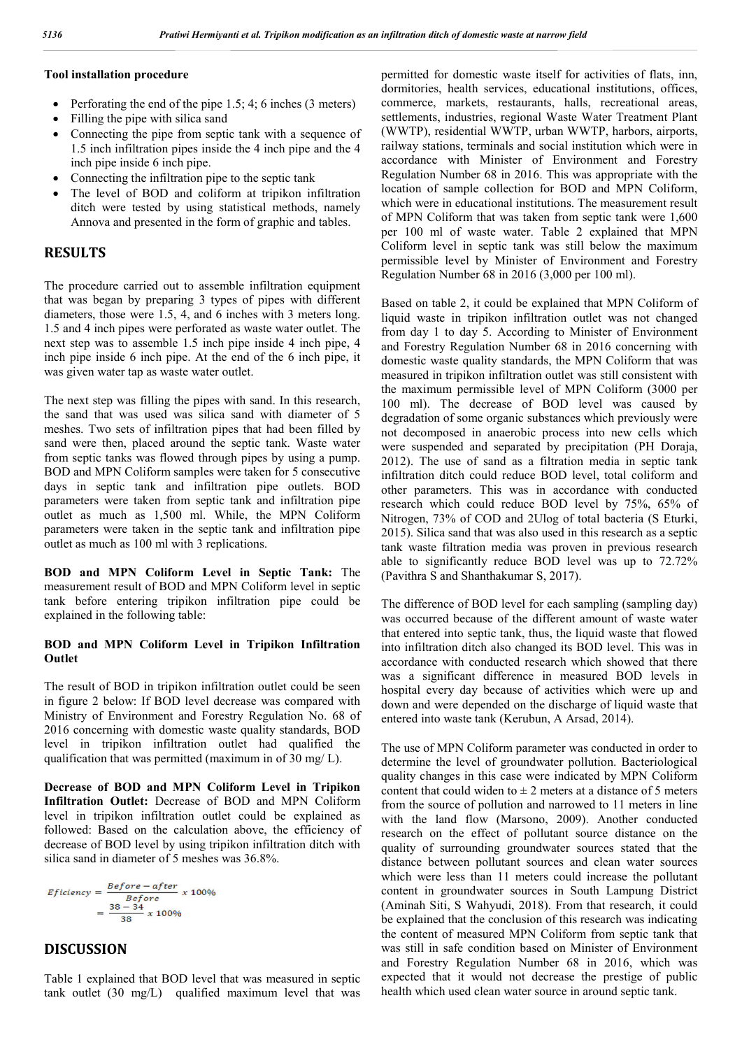### **Tool installation procedure**

- Perforating the end of the pipe  $1.5$ ;  $4$ ; 6 inches (3 meters)
- Filling the pipe with silica sand
- Connecting the pipe from septic tank with a sequence of 1.5 inch infiltration pipes inside the 4 inch pipe and the 4 inch pipe inside 6 inch pipe.
- Connecting the infiltration pipe to the septic tank
- The level of BOD and coliform at tripikon infiltration ditch were tested by using statistical methods, namely Annova and presented in the form of graphic and tables.

# **RESULTS**

The procedure carried out to assemble infiltration equipment that was began by preparing 3 types of pipes with different diameters, those were 1.5, 4, and 6 inches with 3 meters long. 1.5 and 4 inch pipes were perforated as waste water outlet. The next step was to assemble 1.5 inch pipe inside 4 inch pipe, 4 inch pipe inside 6 inch pipe. At the end of the 6 inch pipe, it was given water tap as waste water outlet.

The next step was filling the pipes with sand. In this research, the sand that was used was silica sand with diameter of 5 meshes. Two sets of infiltration pipes that had been filled by sand were then, placed around the septic tank. Waste water from septic tanks was flowed through pipes by using a pump. BOD and MPN Coliform samples were taken for 5 consecutive days in septic tank and infiltration pipe outlets. BOD parameters were taken from septic tank and infiltration pipe outlet as much as 1,500 ml. While, the MPN Coliform parameters were taken in the septic tank and infiltration pipe outlet as much as 100 ml with 3 replications.

**BOD and MPN Coliform Level in Septic Tank:** The measurement result of BOD and MPN Coliform level in septic tank before entering tripikon infiltration pipe could be explained in the following table:

#### **BOD and MPN Coliform Level in Tripikon Infiltration Outlet**

The result of BOD in tripikon infiltration outlet could be seen in figure 2 below: If BOD level decrease was compared with Ministry of Environment and Forestry Regulation No. 68 of 2016 concerning with domestic waste quality standards, BOD level in tripikon infiltration outlet had qualified the qualification that was permitted (maximum in of 30 mg/ L).

**Decrease of BOD and MPN Coliform Level in Tripikon Infiltration Outlet:** Decrease of BOD and MPN Coliform level in tripikon infiltration outlet could be explained as followed: Based on the calculation above, the efficiency of decrease of BOD level by using tripikon infiltration ditch with silica sand in diameter of 5 meshes was 36.8%.

$$
Eficiency = \frac{Before - after}{Before} \times 100\%
$$

$$
= \frac{38 - 34}{38} \times 100\%
$$

## **DISCUSSION**

Table 1 explained that BOD level that was measured in septic tank outlet (30 mg/L) qualified maximum level that was permitted for domestic waste itself for activities of flats, inn, dormitories, health services, educational institutions, offices, commerce, markets, restaurants, halls, recreational areas, settlements, industries, regional Waste Water Treatment Plant (WWTP), residential WWTP, urban WWTP, harbors, airports, railway stations, terminals and social institution which were in accordance with Minister of Environment and Forestry Regulation Number 68 in 2016. This was appropriate with the location of sample collection for BOD and MPN Coliform, which were in educational institutions. The measurement result of MPN Coliform that was taken from septic tank were 1,600 per 100 ml of waste water. Table 2 explained that MPN Coliform level in septic tank was still below the maximum permissible level by Minister of Environment and Forestry Regulation Number 68 in 2016 (3,000 per 100 ml).

Based on table 2, it could be explained that MPN Coliform of liquid waste in tripikon infiltration outlet was not changed from day 1 to day 5. According to Minister of Environment and Forestry Regulation Number 68 in 2016 concerning with domestic waste quality standards, the MPN Coliform that was measured in tripikon infiltration outlet was still consistent with the maximum permissible level of MPN Coliform (3000 per 100 ml). The decrease of BOD level was caused by degradation of some organic substances which previously were not decomposed in anaerobic process into new cells which were suspended and separated by precipitation (PH Doraja, 2012). The use of sand as a filtration media in septic tank infiltration ditch could reduce BOD level, total coliform and other parameters. This was in accordance with conducted research which could reduce BOD level by 75%, 65% of Nitrogen, 73% of COD and 2Ulog of total bacteria (S Eturki, 2015). Silica sand that was also used in this research as a septic tank waste filtration media was proven in previous research able to significantly reduce BOD level was up to 72.72% (Pavithra S and Shanthakumar S, 2017).

The difference of BOD level for each sampling (sampling day) was occurred because of the different amount of waste water that entered into septic tank, thus, the liquid waste that flowed into infiltration ditch also changed its BOD level. This was in accordance with conducted research which showed that there was a significant difference in measured BOD levels in hospital every day because of activities which were up and down and were depended on the discharge of liquid waste that entered into waste tank (Kerubun, A Arsad, 2014).

The use of MPN Coliform parameter was conducted in order to determine the level of groundwater pollution. Bacteriological quality changes in this case were indicated by MPN Coliform content that could widen to  $\pm 2$  meters at a distance of 5 meters from the source of pollution and narrowed to 11 meters in line with the land flow (Marsono, 2009). Another conducted research on the effect of pollutant source distance on the quality of surrounding groundwater sources stated that the distance between pollutant sources and clean water sources which were less than 11 meters could increase the pollutant content in groundwater sources in South Lampung District (Aminah Siti, S Wahyudi, 2018). From that research, it could be explained that the conclusion of this research was indicating the content of measured MPN Coliform from septic tank that was still in safe condition based on Minister of Environment and Forestry Regulation Number 68 in 2016, which was expected that it would not decrease the prestige of public health which used clean water source in around septic tank.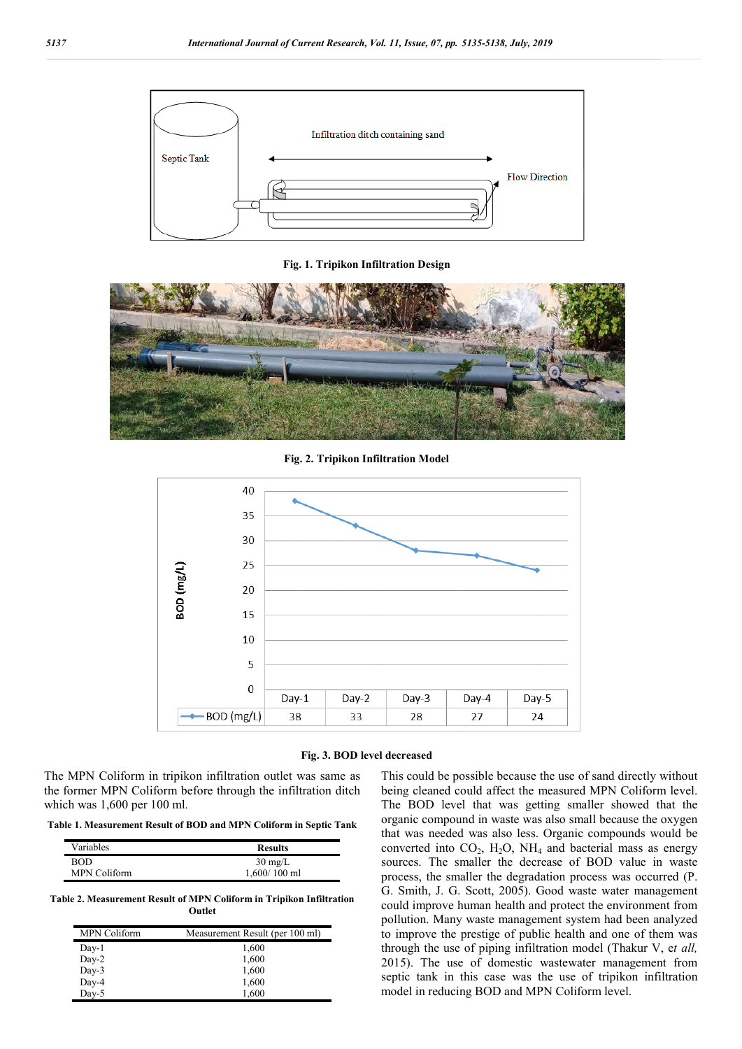

**Fig. 1. Tripikon Infiltration Design**



**Fig. 2. Tripikon Infiltration Model**





The MPN Coliform in tripikon infiltration outlet was same as the former MPN Coliform before through the infiltration ditch which was 1,600 per 100 ml.

**Table 1. Measurement Result of BOD and MPN Coliform in Septic Tank**

| Variables           | <b>Results</b>    |
|---------------------|-------------------|
| <b>BOD</b>          | $30 \text{ mg/L}$ |
| <b>MPN Coliform</b> | $1,600/100$ ml    |

**Table 2. Measurement Result of MPN Coliform in Tripikon Infiltration Outlet**

| <b>MPN Coliform</b> | Measurement Result (per 100 ml) |
|---------------------|---------------------------------|
| Day-1               | 1,600                           |
| Day-2               | 1,600                           |
| $Day-3$             | 1,600                           |
| Day-4               | 1,600                           |
| Day-5               | 1,600                           |

This could be possible because the use of sand directly without being cleaned could affect the measured MPN Coliform level. The BOD level that was getting smaller showed that the organic compound in waste was also small because the oxygen that was needed was also less. Organic compounds would be converted into  $CO<sub>2</sub>$ ,  $H<sub>2</sub>O$ ,  $NH<sub>4</sub>$  and bacterial mass as energy sources. The smaller the decrease of BOD value in waste process, the smaller the degradation process was occurred (P. G. Smith, J. G. Scott, 2005). Good waste water management could improve human health and protect the environment from pollution. Many waste management system had been analyzed to improve the prestige of public health and one of them was through the use of piping infiltration model (Thakur V, e*t all,*  2015). The use of domestic wastewater management from septic tank in this case was the use of tripikon infiltration model in reducing BOD and MPN Coliform level.